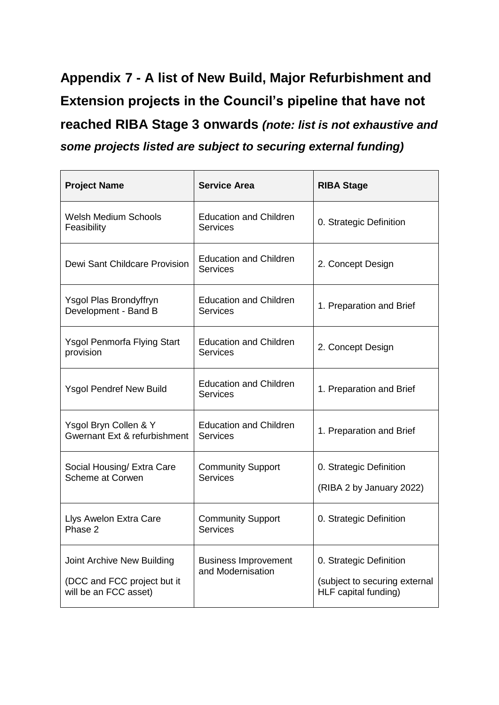**Appendix 7 - A list of New Build, Major Refurbishment and Extension projects in the Council's pipeline that have not reached RIBA Stage 3 onwards** *(note: list is not exhaustive and some projects listed are subject to securing external funding)*

| <b>Project Name</b>                                                                | <b>Service Area</b>                              | <b>RIBA Stage</b>                                                                |
|------------------------------------------------------------------------------------|--------------------------------------------------|----------------------------------------------------------------------------------|
| <b>Welsh Medium Schools</b><br>Feasibility                                         | <b>Education and Children</b><br><b>Services</b> | 0. Strategic Definition                                                          |
| Dewi Sant Childcare Provision                                                      | <b>Education and Children</b><br><b>Services</b> | 2. Concept Design                                                                |
| <b>Ysgol Plas Brondyffryn</b><br>Development - Band B                              | <b>Education and Children</b><br>Services        | 1. Preparation and Brief                                                         |
| <b>Ysgol Penmorfa Flying Start</b><br>provision                                    | <b>Education and Children</b><br><b>Services</b> | 2. Concept Design                                                                |
| <b>Ysgol Pendref New Build</b>                                                     | <b>Education and Children</b><br><b>Services</b> | 1. Preparation and Brief                                                         |
| Ysgol Bryn Collen & Y<br><b>Gwernant Ext &amp; refurbishment</b>                   | <b>Education and Children</b><br>Services        | 1. Preparation and Brief                                                         |
| Social Housing/ Extra Care<br><b>Scheme at Corwen</b>                              | <b>Community Support</b><br><b>Services</b>      | 0. Strategic Definition<br>(RIBA 2 by January 2022)                              |
| Llys Awelon Extra Care<br>Phase 2                                                  | <b>Community Support</b><br><b>Services</b>      | 0. Strategic Definition                                                          |
| Joint Archive New Building<br>(DCC and FCC project but it<br>will be an FCC asset) | <b>Business Improvement</b><br>and Modernisation | 0. Strategic Definition<br>(subject to securing external<br>HLF capital funding) |